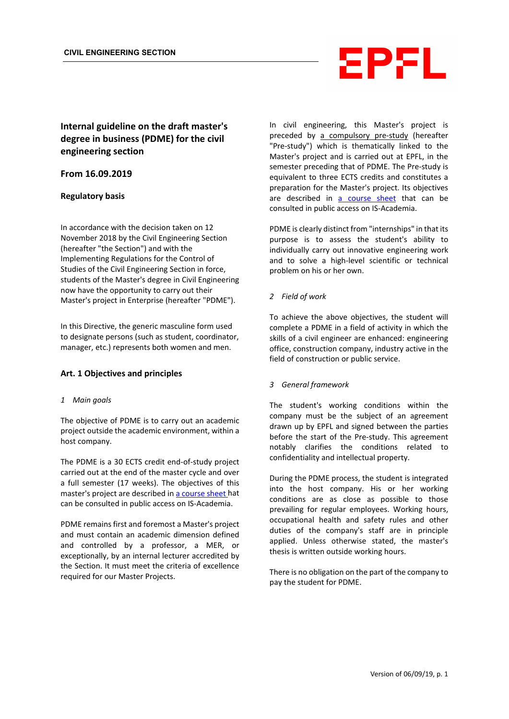

# **Internal guideline on the draft master's degree in business (PDME) for the civil engineering section**

# **From 16.09.2019**

#### **Regulatory basis**

In accordance with the decision taken on 12 November 2018 by the Civil Engineering Section (hereafter "the Section") and with the Implementing Regulations for the Control of Studies of the Civil Engineering Section in force, students of the Master's degree in Civil Engineering now have the opportunity to carry out their Master's project in Enterprise (hereafter "PDME").

In this Directive, the generic masculine form used to designate persons (such as student, coordinator, manager, etc.) represents both women and men.

#### **Art. 1 Objectives and principles**

#### *1 Main goals*

The objective of PDME is to carry out an academic project outside the academic environment, within a host company.

The PDME is a 30 ECTS credit end-of-study project carried out at the end of the master cycle and over a full semester (17 weeks). The objectives of this master's project are described i[n a course sheet](http://edu.epfl.ch/coursebook/fr/pre-etude-projet-de-master-CIVIL-598) hat can be consulted in public access on IS-Academia.

PDME remains first and foremost a Master's project and must contain an academic dimension defined and controlled by a professor, a MER, or exceptionally, by an internal lecturer accredited by the Section. It must meet the criteria of excellence required for our Master Projects.

In civil engineering, this Master's project is preceded by a compulsory pre-study (hereafter "Pre-study") which is thematically linked to the Master's project and is carried out at EPFL, in the semester preceding that of PDME. The Pre-study is equivalent to three ECTS credits and constitutes a preparation for the Master's project. Its objectives are described in [a course sheet](http://edu.epfl.ch/coursebook/fr/pre-etude-projet-de-master-CIVIL-598) that can be consulted in public access on IS-Academia.

PDME is clearly distinct from "internships" in that its purpose is to assess the student's ability to individually carry out innovative engineering work and to solve a high-level scientific or technical problem on his or her own.

#### *2 Field of work*

To achieve the above objectives, the student will complete a PDME in a field of activity in which the skills of a civil engineer are enhanced: engineering office, construction company, industry active in the field of construction or public service.

#### *3 General framework*

The student's working conditions within the company must be the subject of an agreement drawn up by EPFL and signed between the parties before the start of the Pre-study. This agreement notably clarifies the conditions related to confidentiality and intellectual property.

During the PDME process, the student is integrated into the host company. His or her working conditions are as close as possible to those prevailing for regular employees. Working hours, occupational health and safety rules and other duties of the company's staff are in principle applied. Unless otherwise stated, the master's thesis is written outside working hours.

There is no obligation on the part of the company to pay the student for PDME.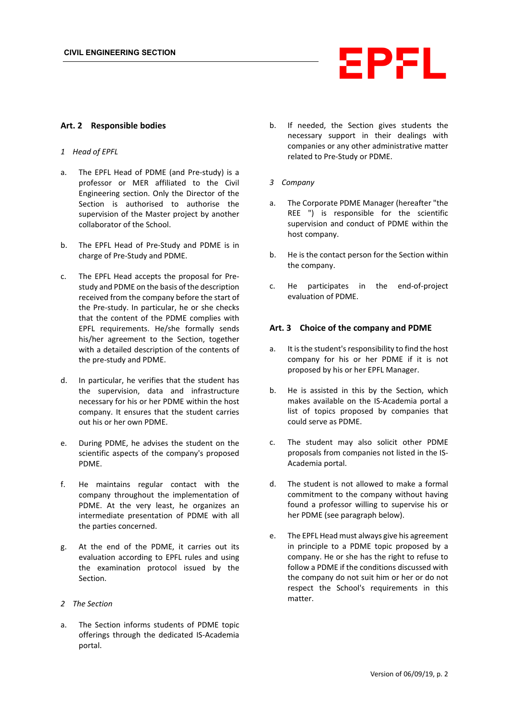

#### **Art. 2 Responsible bodies**

- *1 Head of EPFL*
- a. The EPFL Head of PDME (and Pre-study) is a professor or MER affiliated to the Civil Engineering section. Only the Director of the Section is authorised to authorise the supervision of the Master project by another collaborator of the School.
- b. The EPFL Head of Pre-Study and PDME is in charge of Pre-Study and PDME.
- c. The EPFL Head accepts the proposal for Prestudy and PDME on the basis of the description received from the company before the start of the Pre-study. In particular, he or she checks that the content of the PDME complies with EPFL requirements. He/she formally sends his/her agreement to the Section, together with a detailed description of the contents of the pre-study and PDME.
- d. In particular, he verifies that the student has the supervision, data and infrastructure necessary for his or her PDME within the host company. It ensures that the student carries out his or her own PDME.
- e. During PDME, he advises the student on the scientific aspects of the company's proposed PDME.
- f. He maintains regular contact with the company throughout the implementation of PDME. At the very least, he organizes an intermediate presentation of PDME with all the parties concerned.
- g. At the end of the PDME, it carries out its evaluation according to EPFL rules and using the examination protocol issued by the Section.
- *2 The Section*
- a. The Section informs students of PDME topic offerings through the dedicated IS-Academia portal.
- b. If needed, the Section gives students the necessary support in their dealings with companies or any other administrative matter related to Pre-Study or PDME.
- *3 Company*
- a. The Corporate PDME Manager (hereafter "the REE ") is responsible for the scientific supervision and conduct of PDME within the host company.
- b. He is the contact person for the Section within the company.
- c. He participates in the end-of-project evaluation of PDME.

#### **Art. 3 Choice of the company and PDME**

- a. It is the student's responsibility to find the host company for his or her PDME if it is not proposed by his or her EPFL Manager.
- b. He is assisted in this by the Section, which makes available on the IS-Academia portal a list of topics proposed by companies that could serve as PDME.
- c. The student may also solicit other PDME proposals from companies not listed in the IS-Academia portal.
- d. The student is not allowed to make a formal commitment to the company without having found a professor willing to supervise his or her PDME (see paragraph below).
- e. The EPFL Head must always give his agreement in principle to a PDME topic proposed by a company. He or she has the right to refuse to follow a PDME if the conditions discussed with the company do not suit him or her or do not respect the School's requirements in this matter.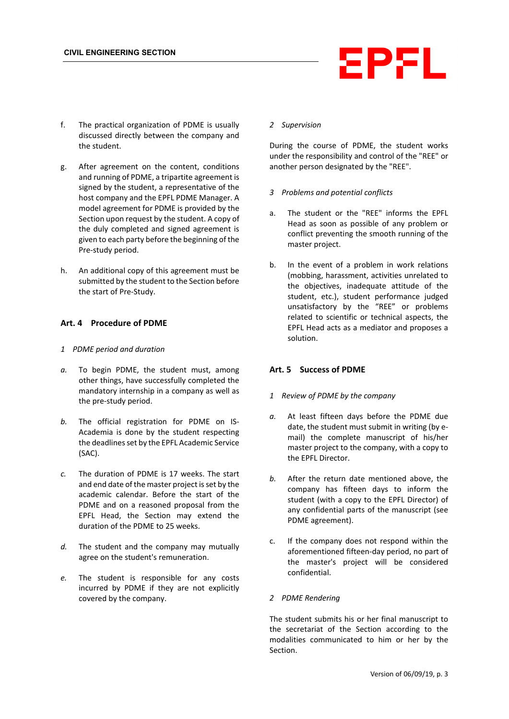# EPFL

- f. The practical organization of PDME is usually discussed directly between the company and the student.
- g. After agreement on the content, conditions and running of PDME, a tripartite agreement is signed by the student, a representative of the host company and the EPFL PDME Manager. A model agreement for PDME is provided by the Section upon request by the student. A copy of the duly completed and signed agreement is given to each party before the beginning of the Pre-study period.
- h. An additional copy of this agreement must be submitted by the student to the Section before the start of Pre-Study.

# **Art. 4 Procedure of PDME**

#### *1 PDME period and duration*

- *a.* To begin PDME, the student must, among other things, have successfully completed the mandatory internship in a company as well as the pre-study period.
- *b.* The official registration for PDME on IS-Academia is done by the student respecting the deadlines set by the EPFL Academic Service (SAC).
- *c.* The duration of PDME is 17 weeks. The start and end date of the master project is set by the academic calendar. Before the start of the PDME and on a reasoned proposal from the EPFL Head, the Section may extend the duration of the PDME to 25 weeks.
- *d.* The student and the company may mutually agree on the student's remuneration.
- *e.* The student is responsible for any costs incurred by PDME if they are not explicitly covered by the company.

#### *2 Supervision*

During the course of PDME, the student works under the responsibility and control of the "REE" or another person designated by the "REE".

#### *3 Problems and potential conflicts*

- a. The student or the "REE" informs the EPFL Head as soon as possible of any problem or conflict preventing the smooth running of the master project.
- b. In the event of a problem in work relations (mobbing, harassment, activities unrelated to the objectives, inadequate attitude of the student, etc.), student performance judged unsatisfactory by the "REE" or problems related to scientific or technical aspects, the EPFL Head acts as a mediator and proposes a solution.

# **Art. 5 Success of PDME**

#### *1 Review of PDME by the company*

- *a.* At least fifteen days before the PDME due date, the student must submit in writing (by email) the complete manuscript of his/her master project to the company, with a copy to the EPFL Director.
- *b.* After the return date mentioned above, the company has fifteen days to inform the student (with a copy to the EPFL Director) of any confidential parts of the manuscript (see PDME agreement).
- c. If the company does not respond within the aforementioned fifteen-day period, no part of the master's project will be considered confidential.

#### *2 PDME Rendering*

The student submits his or her final manuscript to the secretariat of the Section according to the modalities communicated to him or her by the Section.